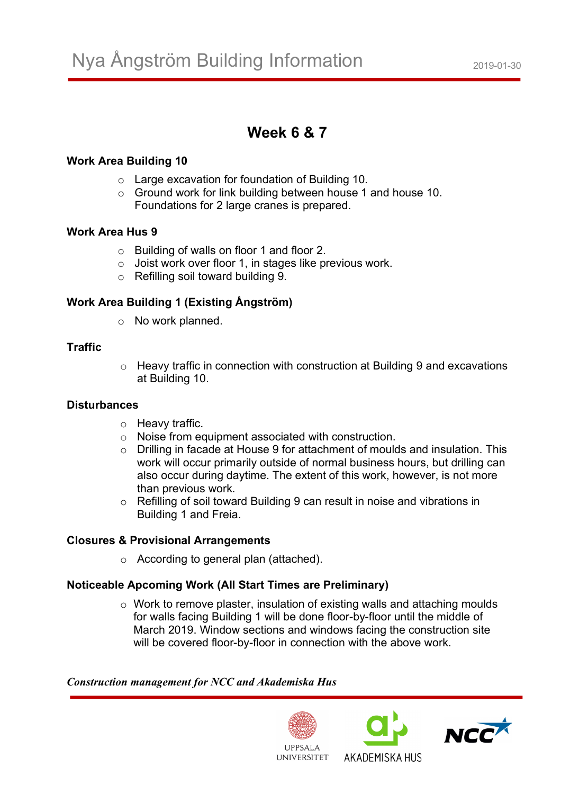# **Week 6 & 7**

#### **Work Area Building 10**

- o Large excavation for foundation of Building 10.
- o Ground work for link building between house 1 and house 10. Foundations for 2 large cranes is prepared.

#### **Work Area Hus 9**

- o Building of walls on floor 1 and floor 2.
- o Joist work over floor 1, in stages like previous work.
- o Refilling soil toward building 9.

## **Work Area Building 1 (Existing Ångström)**

o No work planned.

## **Traffic**

o Heavy traffic in connection with construction at Building 9 and excavations at Building 10.

## **Disturbances**

- o Heavy traffic.
- o Noise from equipment associated with construction.
- o Drilling in facade at House 9 for attachment of moulds and insulation. This work will occur primarily outside of normal business hours, but drilling can also occur during daytime. The extent of this work, however, is not more than previous work.
- o Refilling of soil toward Building 9 can result in noise and vibrations in Building 1 and Freia.

## **Closures & Provisional Arrangements**

o According to general plan (attached).

## **Noticeable Apcoming Work (All Start Times are Preliminary)**

o Work to remove plaster, insulation of existing walls and attaching moulds for walls facing Building 1 will be done floor-by-floor until the middle of March 2019. Window sections and windows facing the construction site will be covered floor-by-floor in connection with the above work.

#### *Construction management for NCC and Akademiska Hus*



AKADEMISKA HUS